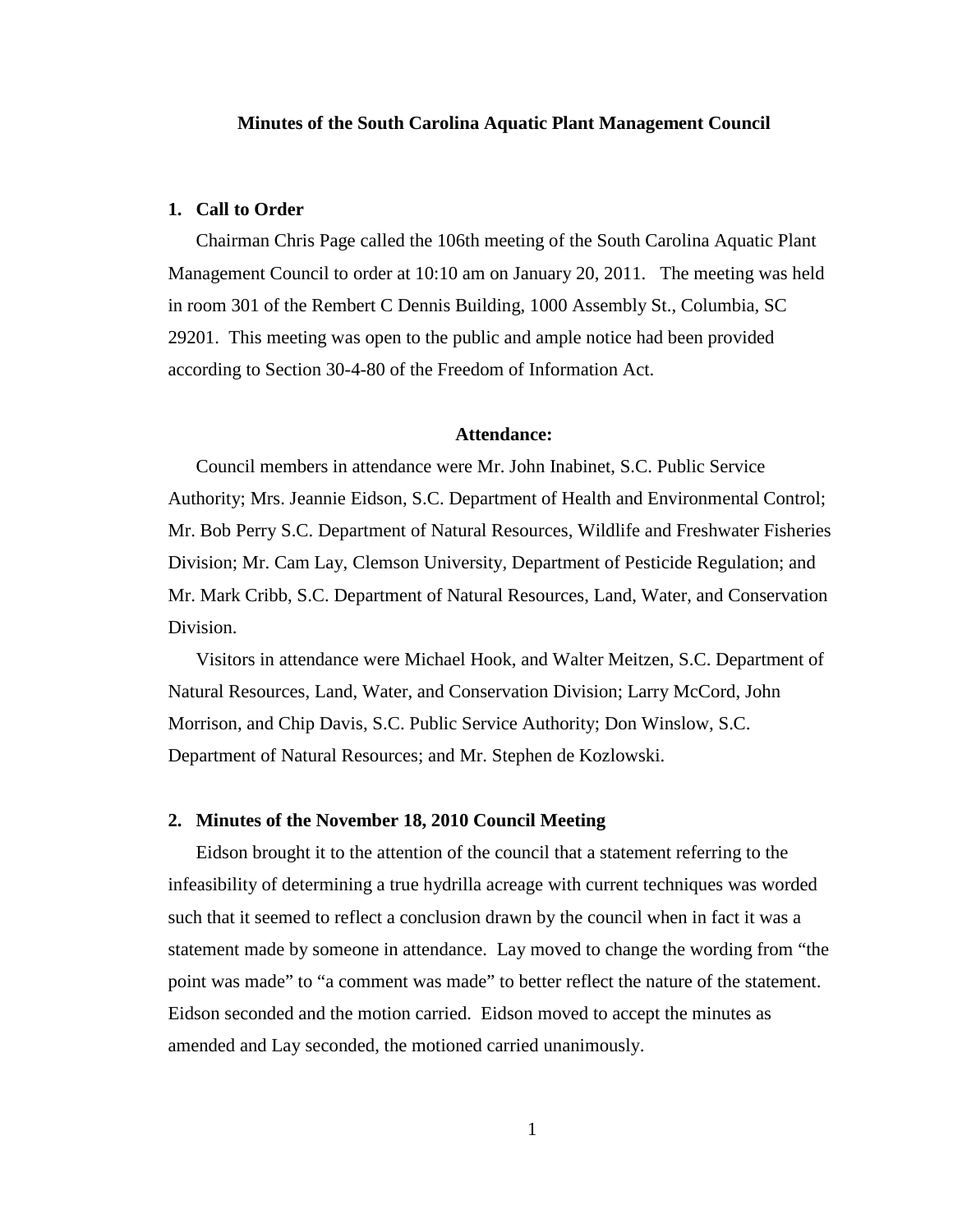#### **Minutes of the South Carolina Aquatic Plant Management Council**

## **1. Call to Order**

Chairman Chris Page called the 106th meeting of the South Carolina Aquatic Plant Management Council to order at 10:10 am on January 20, 2011. The meeting was held in room 301 of the Rembert C Dennis Building, 1000 Assembly St., Columbia, SC 29201. This meeting was open to the public and ample notice had been provided according to Section 30-4-80 of the Freedom of Information Act.

#### **Attendance:**

Council members in attendance were Mr. John Inabinet, S.C. Public Service Authority; Mrs. Jeannie Eidson, S.C. Department of Health and Environmental Control; Mr. Bob Perry S.C. Department of Natural Resources, Wildlife and Freshwater Fisheries Division; Mr. Cam Lay, Clemson University, Department of Pesticide Regulation; and Mr. Mark Cribb, S.C. Department of Natural Resources, Land, Water, and Conservation Division.

Visitors in attendance were Michael Hook, and Walter Meitzen, S.C. Department of Natural Resources, Land, Water, and Conservation Division; Larry McCord, John Morrison, and Chip Davis, S.C. Public Service Authority; Don Winslow, S.C. Department of Natural Resources; and Mr. Stephen de Kozlowski.

### **2. Minutes of the November 18, 2010 Council Meeting**

Eidson brought it to the attention of the council that a statement referring to the infeasibility of determining a true hydrilla acreage with current techniques was worded such that it seemed to reflect a conclusion drawn by the council when in fact it was a statement made by someone in attendance. Lay moved to change the wording from "the point was made" to "a comment was made" to better reflect the nature of the statement. Eidson seconded and the motion carried. Eidson moved to accept the minutes as amended and Lay seconded, the motioned carried unanimously.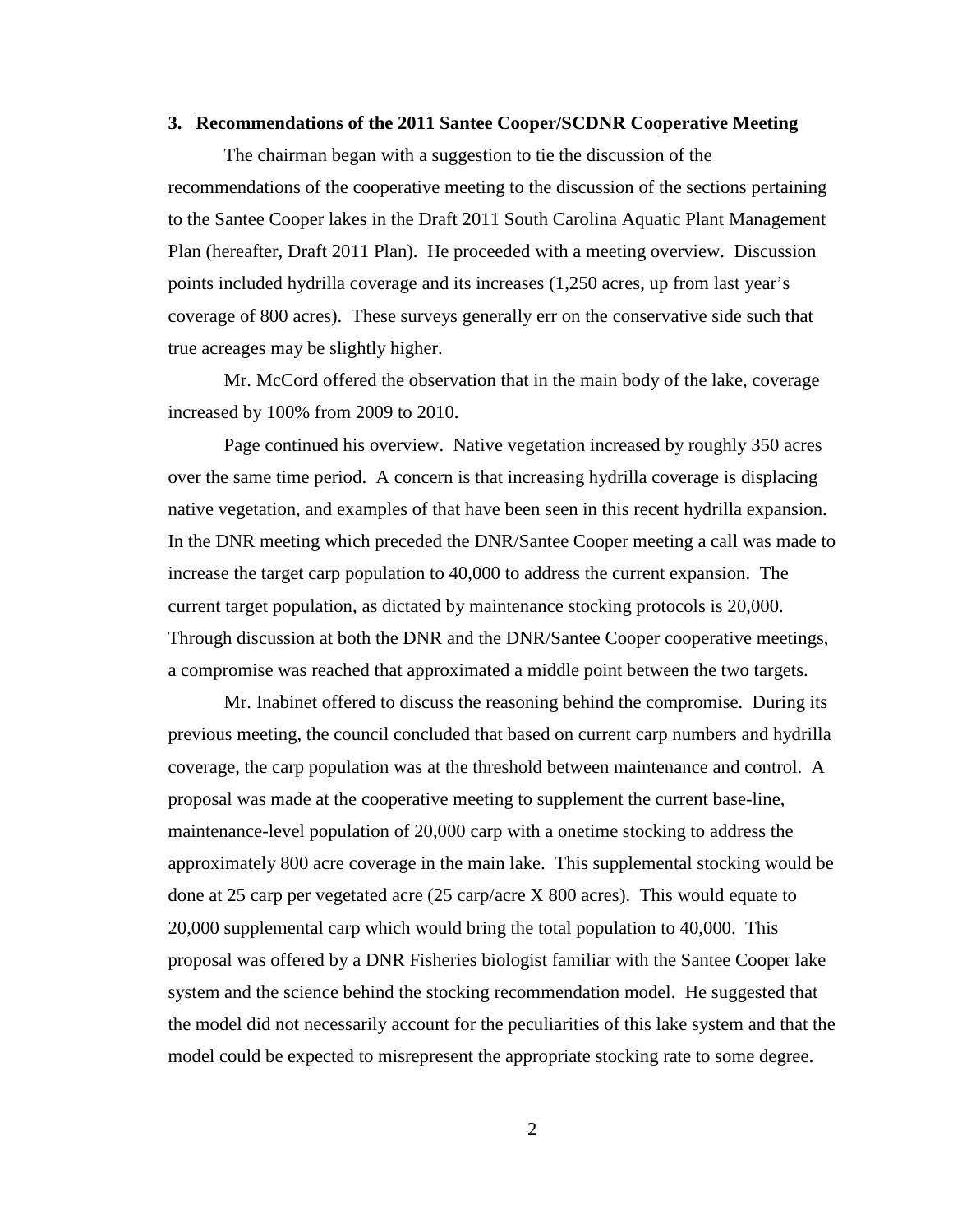#### **3. Recommendations of the 2011 Santee Cooper/SCDNR Cooperative Meeting**

The chairman began with a suggestion to tie the discussion of the recommendations of the cooperative meeting to the discussion of the sections pertaining to the Santee Cooper lakes in the Draft 2011 South Carolina Aquatic Plant Management Plan (hereafter, Draft 2011 Plan). He proceeded with a meeting overview. Discussion points included hydrilla coverage and its increases (1,250 acres, up from last year's coverage of 800 acres). These surveys generally err on the conservative side such that true acreages may be slightly higher.

Mr. McCord offered the observation that in the main body of the lake, coverage increased by 100% from 2009 to 2010.

Page continued his overview. Native vegetation increased by roughly 350 acres over the same time period. A concern is that increasing hydrilla coverage is displacing native vegetation, and examples of that have been seen in this recent hydrilla expansion. In the DNR meeting which preceded the DNR/Santee Cooper meeting a call was made to increase the target carp population to 40,000 to address the current expansion. The current target population, as dictated by maintenance stocking protocols is 20,000. Through discussion at both the DNR and the DNR/Santee Cooper cooperative meetings, a compromise was reached that approximated a middle point between the two targets.

Mr. Inabinet offered to discuss the reasoning behind the compromise. During its previous meeting, the council concluded that based on current carp numbers and hydrilla coverage, the carp population was at the threshold between maintenance and control. A proposal was made at the cooperative meeting to supplement the current base-line, maintenance-level population of 20,000 carp with a onetime stocking to address the approximately 800 acre coverage in the main lake. This supplemental stocking would be done at 25 carp per vegetated acre (25 carp/acre X 800 acres). This would equate to 20,000 supplemental carp which would bring the total population to 40,000. This proposal was offered by a DNR Fisheries biologist familiar with the Santee Cooper lake system and the science behind the stocking recommendation model. He suggested that the model did not necessarily account for the peculiarities of this lake system and that the model could be expected to misrepresent the appropriate stocking rate to some degree.

2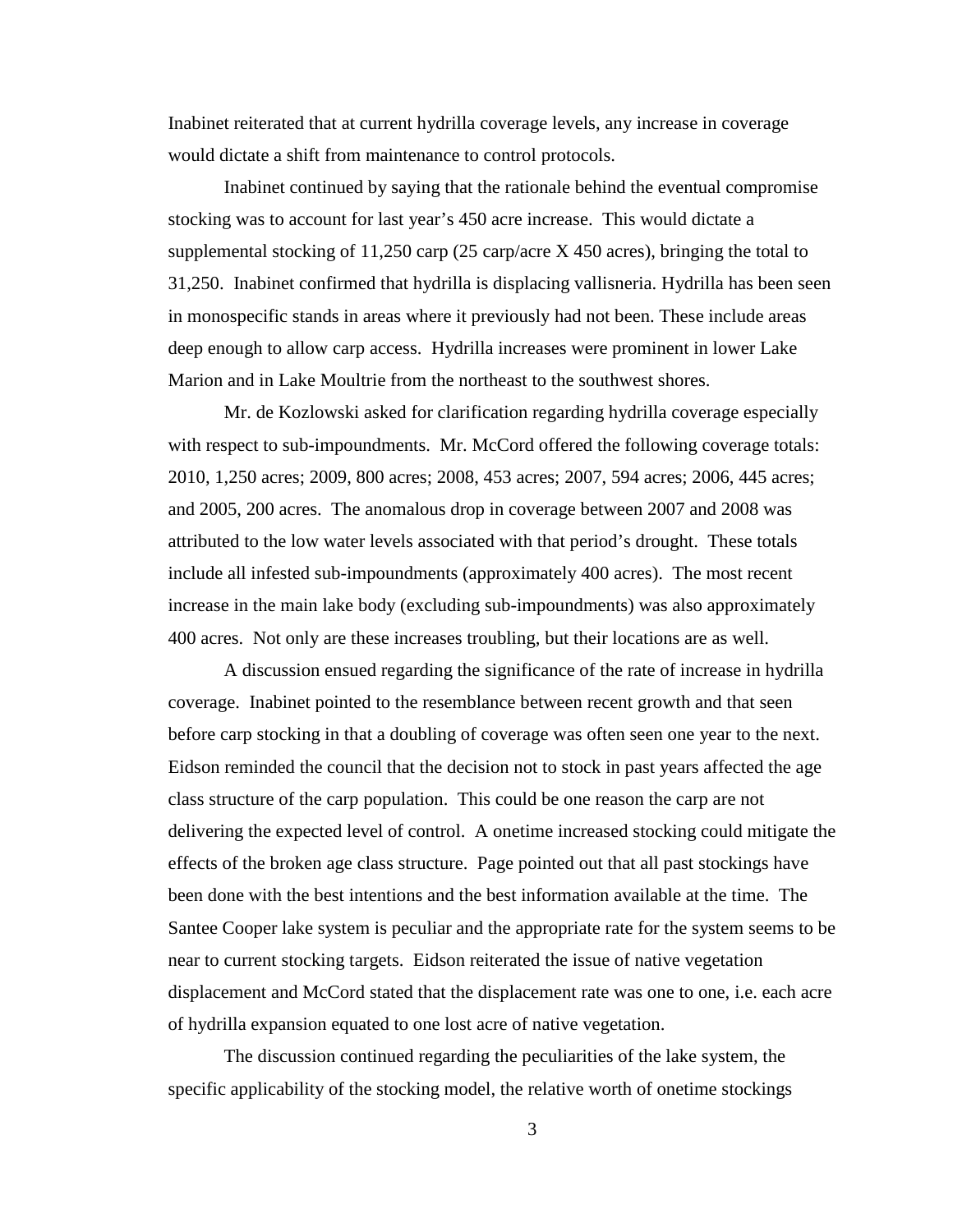Inabinet reiterated that at current hydrilla coverage levels, any increase in coverage would dictate a shift from maintenance to control protocols.

Inabinet continued by saying that the rationale behind the eventual compromise stocking was to account for last year's 450 acre increase. This would dictate a supplemental stocking of 11,250 carp (25 carp/acre X 450 acres), bringing the total to 31,250. Inabinet confirmed that hydrilla is displacing vallisneria. Hydrilla has been seen in monospecific stands in areas where it previously had not been. These include areas deep enough to allow carp access. Hydrilla increases were prominent in lower Lake Marion and in Lake Moultrie from the northeast to the southwest shores.

Mr. de Kozlowski asked for clarification regarding hydrilla coverage especially with respect to sub-impoundments. Mr. McCord offered the following coverage totals: 2010, 1,250 acres; 2009, 800 acres; 2008, 453 acres; 2007, 594 acres; 2006, 445 acres; and 2005, 200 acres. The anomalous drop in coverage between 2007 and 2008 was attributed to the low water levels associated with that period's drought. These totals include all infested sub-impoundments (approximately 400 acres). The most recent increase in the main lake body (excluding sub-impoundments) was also approximately 400 acres. Not only are these increases troubling, but their locations are as well.

A discussion ensued regarding the significance of the rate of increase in hydrilla coverage. Inabinet pointed to the resemblance between recent growth and that seen before carp stocking in that a doubling of coverage was often seen one year to the next. Eidson reminded the council that the decision not to stock in past years affected the age class structure of the carp population. This could be one reason the carp are not delivering the expected level of control. A onetime increased stocking could mitigate the effects of the broken age class structure. Page pointed out that all past stockings have been done with the best intentions and the best information available at the time. The Santee Cooper lake system is peculiar and the appropriate rate for the system seems to be near to current stocking targets. Eidson reiterated the issue of native vegetation displacement and McCord stated that the displacement rate was one to one, i.e. each acre of hydrilla expansion equated to one lost acre of native vegetation.

The discussion continued regarding the peculiarities of the lake system, the specific applicability of the stocking model, the relative worth of onetime stockings

3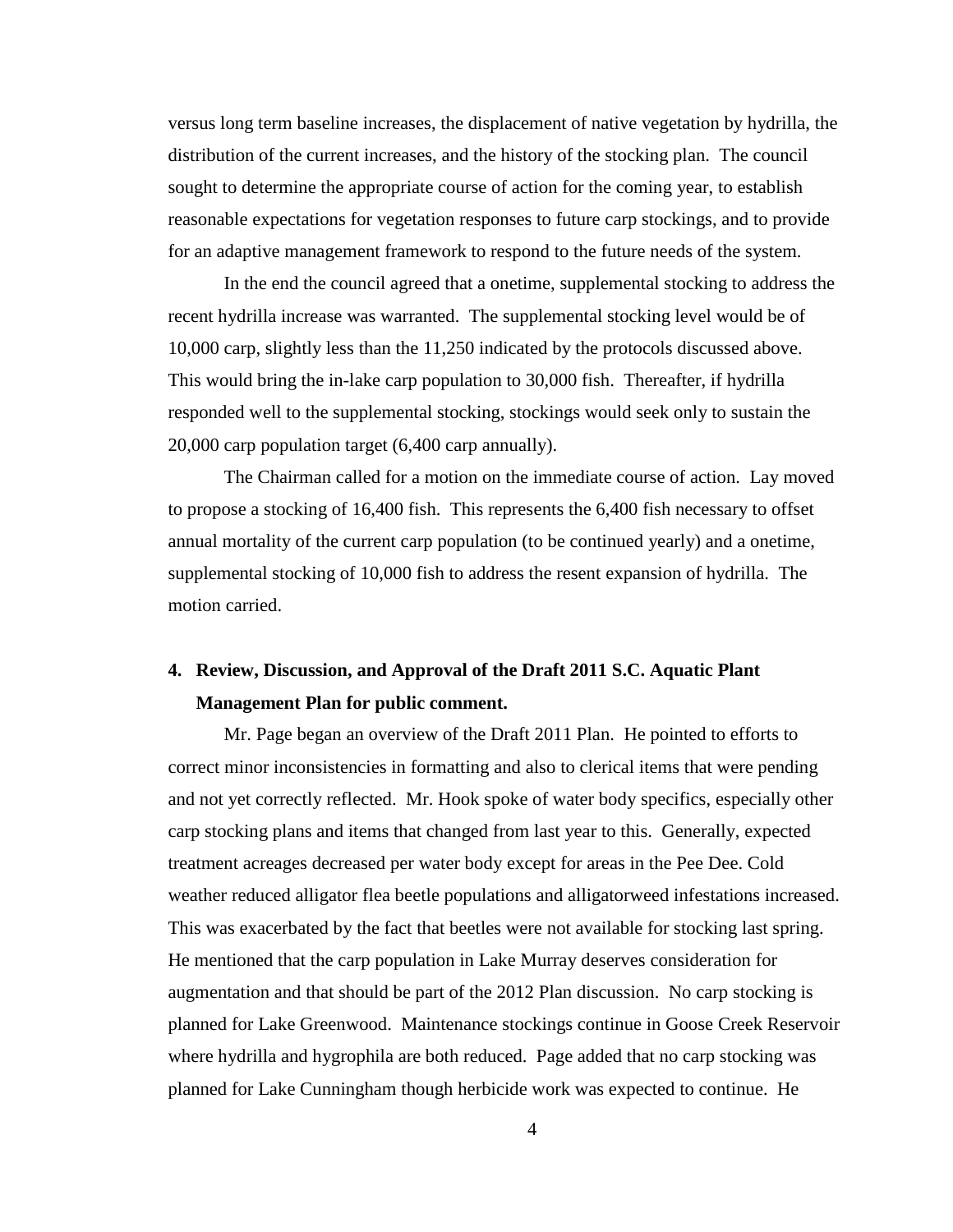versus long term baseline increases, the displacement of native vegetation by hydrilla, the distribution of the current increases, and the history of the stocking plan. The council sought to determine the appropriate course of action for the coming year, to establish reasonable expectations for vegetation responses to future carp stockings, and to provide for an adaptive management framework to respond to the future needs of the system.

In the end the council agreed that a onetime, supplemental stocking to address the recent hydrilla increase was warranted. The supplemental stocking level would be of 10,000 carp, slightly less than the 11,250 indicated by the protocols discussed above. This would bring the in-lake carp population to 30,000 fish. Thereafter, if hydrilla responded well to the supplemental stocking, stockings would seek only to sustain the 20,000 carp population target (6,400 carp annually).

The Chairman called for a motion on the immediate course of action. Lay moved to propose a stocking of 16,400 fish. This represents the 6,400 fish necessary to offset annual mortality of the current carp population (to be continued yearly) and a onetime, supplemental stocking of 10,000 fish to address the resent expansion of hydrilla. The motion carried.

# **4. Review, Discussion, and Approval of the Draft 2011 S.C. Aquatic Plant Management Plan for public comment.**

Mr. Page began an overview of the Draft 2011 Plan. He pointed to efforts to correct minor inconsistencies in formatting and also to clerical items that were pending and not yet correctly reflected. Mr. Hook spoke of water body specifics, especially other carp stocking plans and items that changed from last year to this. Generally, expected treatment acreages decreased per water body except for areas in the Pee Dee. Cold weather reduced alligator flea beetle populations and alligatorweed infestations increased. This was exacerbated by the fact that beetles were not available for stocking last spring. He mentioned that the carp population in Lake Murray deserves consideration for augmentation and that should be part of the 2012 Plan discussion. No carp stocking is planned for Lake Greenwood. Maintenance stockings continue in Goose Creek Reservoir where hydrilla and hygrophila are both reduced. Page added that no carp stocking was planned for Lake Cunningham though herbicide work was expected to continue. He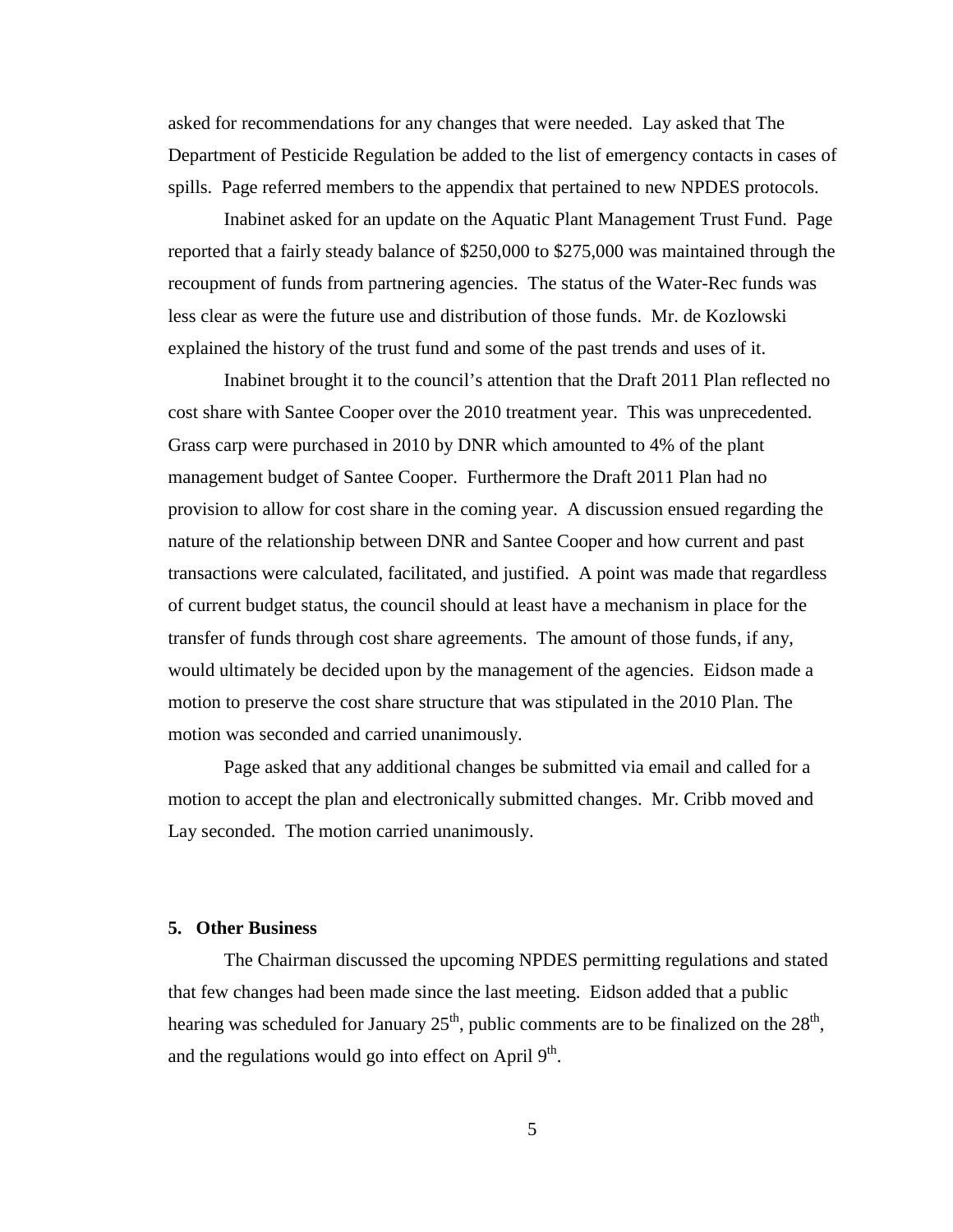asked for recommendations for any changes that were needed. Lay asked that The Department of Pesticide Regulation be added to the list of emergency contacts in cases of spills. Page referred members to the appendix that pertained to new NPDES protocols.

Inabinet asked for an update on the Aquatic Plant Management Trust Fund. Page reported that a fairly steady balance of \$250,000 to \$275,000 was maintained through the recoupment of funds from partnering agencies. The status of the Water-Rec funds was less clear as were the future use and distribution of those funds. Mr. de Kozlowski explained the history of the trust fund and some of the past trends and uses of it.

Inabinet brought it to the council's attention that the Draft 2011 Plan reflected no cost share with Santee Cooper over the 2010 treatment year. This was unprecedented. Grass carp were purchased in 2010 by DNR which amounted to 4% of the plant management budget of Santee Cooper. Furthermore the Draft 2011 Plan had no provision to allow for cost share in the coming year. A discussion ensued regarding the nature of the relationship between DNR and Santee Cooper and how current and past transactions were calculated, facilitated, and justified. A point was made that regardless of current budget status, the council should at least have a mechanism in place for the transfer of funds through cost share agreements. The amount of those funds, if any, would ultimately be decided upon by the management of the agencies. Eidson made a motion to preserve the cost share structure that was stipulated in the 2010 Plan. The motion was seconded and carried unanimously.

Page asked that any additional changes be submitted via email and called for a motion to accept the plan and electronically submitted changes. Mr. Cribb moved and Lay seconded. The motion carried unanimously.

#### **5. Other Business**

The Chairman discussed the upcoming NPDES permitting regulations and stated that few changes had been made since the last meeting. Eidson added that a public hearing was scheduled for January  $25<sup>th</sup>$ , public comments are to be finalized on the  $28<sup>th</sup>$ , and the regulations would go into effect on April  $9<sup>th</sup>$ .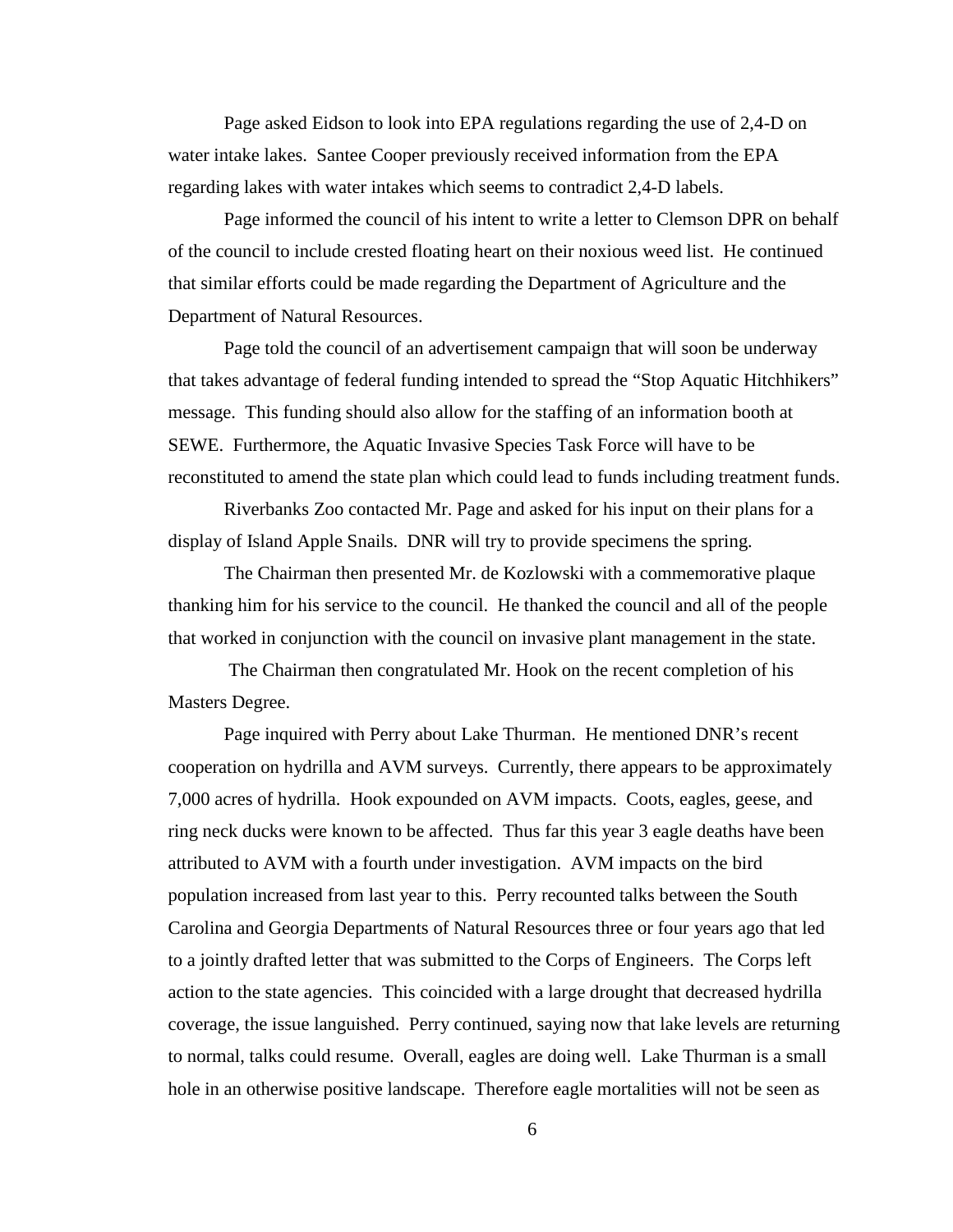Page asked Eidson to look into EPA regulations regarding the use of 2,4-D on water intake lakes. Santee Cooper previously received information from the EPA regarding lakes with water intakes which seems to contradict 2,4-D labels.

Page informed the council of his intent to write a letter to Clemson DPR on behalf of the council to include crested floating heart on their noxious weed list. He continued that similar efforts could be made regarding the Department of Agriculture and the Department of Natural Resources.

Page told the council of an advertisement campaign that will soon be underway that takes advantage of federal funding intended to spread the "Stop Aquatic Hitchhikers" message. This funding should also allow for the staffing of an information booth at SEWE. Furthermore, the Aquatic Invasive Species Task Force will have to be reconstituted to amend the state plan which could lead to funds including treatment funds.

Riverbanks Zoo contacted Mr. Page and asked for his input on their plans for a display of Island Apple Snails. DNR will try to provide specimens the spring.

The Chairman then presented Mr. de Kozlowski with a commemorative plaque thanking him for his service to the council. He thanked the council and all of the people that worked in conjunction with the council on invasive plant management in the state.

The Chairman then congratulated Mr. Hook on the recent completion of his Masters Degree.

Page inquired with Perry about Lake Thurman. He mentioned DNR's recent cooperation on hydrilla and AVM surveys. Currently, there appears to be approximately 7,000 acres of hydrilla. Hook expounded on AVM impacts. Coots, eagles, geese, and ring neck ducks were known to be affected. Thus far this year 3 eagle deaths have been attributed to AVM with a fourth under investigation. AVM impacts on the bird population increased from last year to this. Perry recounted talks between the South Carolina and Georgia Departments of Natural Resources three or four years ago that led to a jointly drafted letter that was submitted to the Corps of Engineers. The Corps left action to the state agencies. This coincided with a large drought that decreased hydrilla coverage, the issue languished. Perry continued, saying now that lake levels are returning to normal, talks could resume. Overall, eagles are doing well. Lake Thurman is a small hole in an otherwise positive landscape. Therefore eagle mortalities will not be seen as